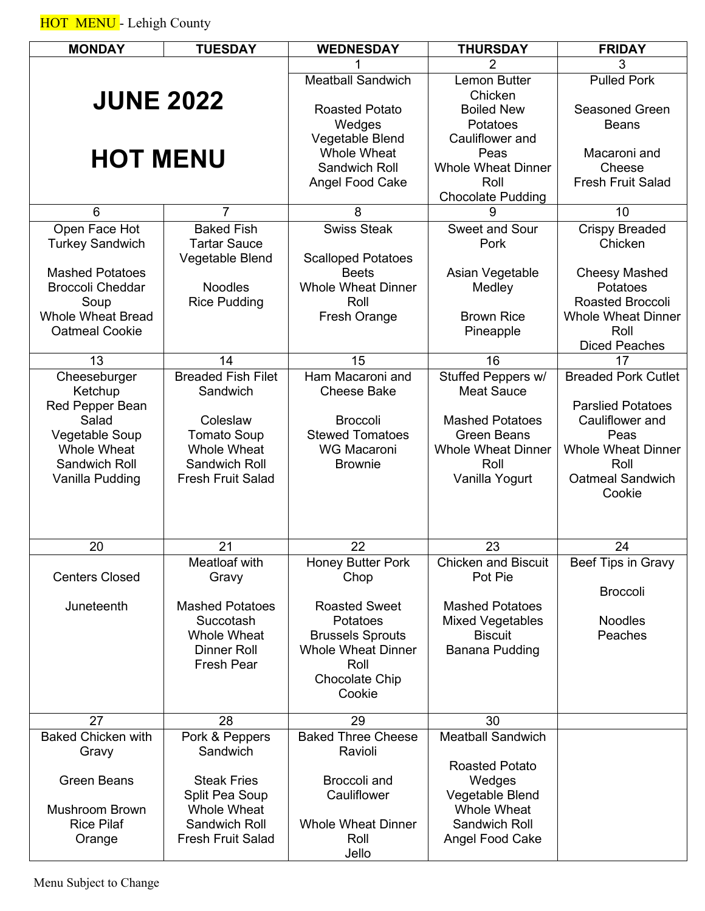HOT MENU - Lehigh County

| <b>MONDAY</b>                                                                                                                   | <b>TUESDAY</b>                                                                                                                      | <b>WEDNESDAY</b>                                                                                                            | <b>THURSDAY</b>                                                                                                                                | <b>FRIDAY</b>                                                                                                                                               |
|---------------------------------------------------------------------------------------------------------------------------------|-------------------------------------------------------------------------------------------------------------------------------------|-----------------------------------------------------------------------------------------------------------------------------|------------------------------------------------------------------------------------------------------------------------------------------------|-------------------------------------------------------------------------------------------------------------------------------------------------------------|
|                                                                                                                                 |                                                                                                                                     |                                                                                                                             | $\overline{2}$                                                                                                                                 | 3                                                                                                                                                           |
| <b>JUNE 2022</b>                                                                                                                |                                                                                                                                     | <b>Meatball Sandwich</b><br><b>Roasted Potato</b>                                                                           | <b>Lemon Butter</b><br>Chicken<br><b>Boiled New</b>                                                                                            | <b>Pulled Pork</b><br><b>Seasoned Green</b>                                                                                                                 |
| <b>HOT MENU</b>                                                                                                                 |                                                                                                                                     | Wedges<br>Vegetable Blend<br><b>Whole Wheat</b><br>Sandwich Roll<br>Angel Food Cake                                         | Potatoes<br>Cauliflower and<br>Peas<br><b>Whole Wheat Dinner</b><br>Roll<br><b>Chocolate Pudding</b>                                           | <b>Beans</b><br>Macaroni and<br>Cheese<br><b>Fresh Fruit Salad</b>                                                                                          |
| 6                                                                                                                               | 7                                                                                                                                   | 8                                                                                                                           | 9                                                                                                                                              | 10                                                                                                                                                          |
| Open Face Hot<br><b>Turkey Sandwich</b>                                                                                         | <b>Baked Fish</b><br><b>Tartar Sauce</b><br>Vegetable Blend                                                                         | <b>Swiss Steak</b><br><b>Scalloped Potatoes</b>                                                                             | <b>Sweet and Sour</b><br>Pork                                                                                                                  | <b>Crispy Breaded</b><br>Chicken                                                                                                                            |
| <b>Mashed Potatoes</b><br><b>Broccoli Cheddar</b><br>Soup<br><b>Whole Wheat Bread</b><br><b>Oatmeal Cookie</b>                  | <b>Noodles</b><br><b>Rice Pudding</b>                                                                                               | <b>Beets</b><br><b>Whole Wheat Dinner</b><br>Roll<br>Fresh Orange                                                           | Asian Vegetable<br>Medley<br><b>Brown Rice</b><br>Pineapple                                                                                    | <b>Cheesy Mashed</b><br>Potatoes<br>Roasted Broccoli<br><b>Whole Wheat Dinner</b><br>Roll<br><b>Diced Peaches</b>                                           |
| 13                                                                                                                              | 14                                                                                                                                  | 15                                                                                                                          | 16                                                                                                                                             | 17                                                                                                                                                          |
| Cheeseburger<br>Ketchup<br>Red Pepper Bean<br>Salad<br>Vegetable Soup<br><b>Whole Wheat</b><br>Sandwich Roll<br>Vanilla Pudding | <b>Breaded Fish Filet</b><br>Sandwich<br>Coleslaw<br><b>Tomato Soup</b><br>Whole Wheat<br>Sandwich Roll<br><b>Fresh Fruit Salad</b> | Ham Macaroni and<br><b>Cheese Bake</b><br><b>Broccoli</b><br><b>Stewed Tomatoes</b><br><b>WG Macaroni</b><br><b>Brownie</b> | Stuffed Peppers w/<br><b>Meat Sauce</b><br><b>Mashed Potatoes</b><br><b>Green Beans</b><br><b>Whole Wheat Dinner</b><br>Roll<br>Vanilla Yogurt | <b>Breaded Pork Cutlet</b><br><b>Parslied Potatoes</b><br>Cauliflower and<br>Peas<br><b>Whole Wheat Dinner</b><br>Roll<br><b>Oatmeal Sandwich</b><br>Cookie |
| 20                                                                                                                              | 21                                                                                                                                  | 22                                                                                                                          | 23                                                                                                                                             | 24                                                                                                                                                          |
| <b>Centers Closed</b>                                                                                                           | Meatloaf with<br>Gravy                                                                                                              | <b>Honey Butter Pork</b><br>Chop<br><b>Roasted Sweet</b>                                                                    | <b>Chicken and Biscuit</b><br>Pot Pie                                                                                                          | Beef Tips in Gravy<br><b>Broccoli</b>                                                                                                                       |
| Juneteenth                                                                                                                      | <b>Mashed Potatoes</b><br>Succotash<br><b>Whole Wheat</b><br>Dinner Roll<br><b>Fresh Pear</b>                                       | Potatoes<br><b>Brussels Sprouts</b><br><b>Whole Wheat Dinner</b><br>Roll<br><b>Chocolate Chip</b><br>Cookie                 | <b>Mashed Potatoes</b><br><b>Mixed Vegetables</b><br><b>Biscuit</b><br><b>Banana Pudding</b>                                                   | <b>Noodles</b><br>Peaches                                                                                                                                   |
| 27                                                                                                                              | 28                                                                                                                                  | 29                                                                                                                          | 30                                                                                                                                             |                                                                                                                                                             |
| <b>Baked Chicken with</b><br>Gravy                                                                                              | Pork & Peppers<br>Sandwich                                                                                                          | <b>Baked Three Cheese</b><br>Ravioli                                                                                        | <b>Meatball Sandwich</b><br><b>Roasted Potato</b>                                                                                              |                                                                                                                                                             |
| <b>Green Beans</b><br><b>Mushroom Brown</b><br><b>Rice Pilaf</b><br>Orange                                                      | <b>Steak Fries</b><br>Split Pea Soup<br>Whole Wheat<br>Sandwich Roll<br><b>Fresh Fruit Salad</b>                                    | Broccoli and<br>Cauliflower<br><b>Whole Wheat Dinner</b><br>Roll<br>Jello                                                   | Wedges<br>Vegetable Blend<br>Whole Wheat<br>Sandwich Roll<br>Angel Food Cake                                                                   |                                                                                                                                                             |